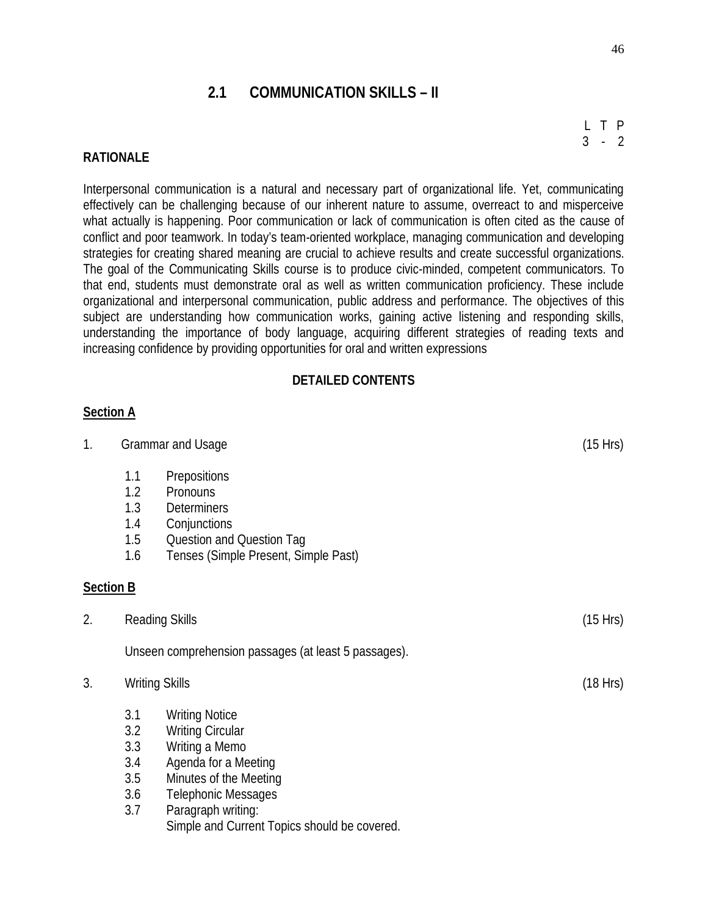# **2.1 COMMUNICATION SKILLS – II**

### **RATIONALE**

Interpersonal communication is a natural and necessary part of organizational life. Yet, communicating effectively can be challenging because of our inherent nature to assume, overreact to and misperceive what actually is happening. Poor communication or lack of communication is often cited as the cause of conflict and poor teamwork. In today's team-oriented workplace, managing communication and developing strategies for creating shared meaning are crucial to achieve results and create successful organizations. The goal of the Communicating Skills course is to produce civic-minded, competent communicators. To that end, students must demonstrate oral as well as written communication proficiency. These include organizational and interpersonal communication, public address and performance. The objectives of this subject are understanding how communication works, gaining active listening and responding skills, understanding the importance of body language, acquiring different strategies of reading texts and increasing confidence by providing opportunities for oral and written expressions

#### **DETAILED CONTENTS**

#### **Section A**

| 1.               |                                                   | <b>Grammar and Usage</b>                                                                                                                                                                                                 | (15 Hrs) |
|------------------|---------------------------------------------------|--------------------------------------------------------------------------------------------------------------------------------------------------------------------------------------------------------------------------|----------|
|                  | 1.1<br>1.2<br>1.3<br>1.4<br>1.5<br>1.6            | <b>Prepositions</b><br>Pronouns<br><b>Determiners</b><br>Conjunctions<br>Question and Question Tag<br>Tenses (Simple Present, Simple Past)                                                                               |          |
| <b>Section B</b> |                                                   |                                                                                                                                                                                                                          |          |
| 2.               |                                                   | <b>Reading Skills</b>                                                                                                                                                                                                    | (15 Hrs) |
|                  |                                                   | Unseen comprehension passages (at least 5 passages).                                                                                                                                                                     |          |
| 3.               | <b>Writing Skills</b><br>(18 Hrs)                 |                                                                                                                                                                                                                          |          |
|                  | 3.1<br>3.2<br>3.3<br>3.4<br>$3.5\,$<br>3.6<br>3.7 | <b>Writing Notice</b><br><b>Writing Circular</b><br>Writing a Memo<br>Agenda for a Meeting<br>Minutes of the Meeting<br><b>Telephonic Messages</b><br>Paragraph writing:<br>Simple and Current Topics should be covered. |          |

L T P  $3 - 2$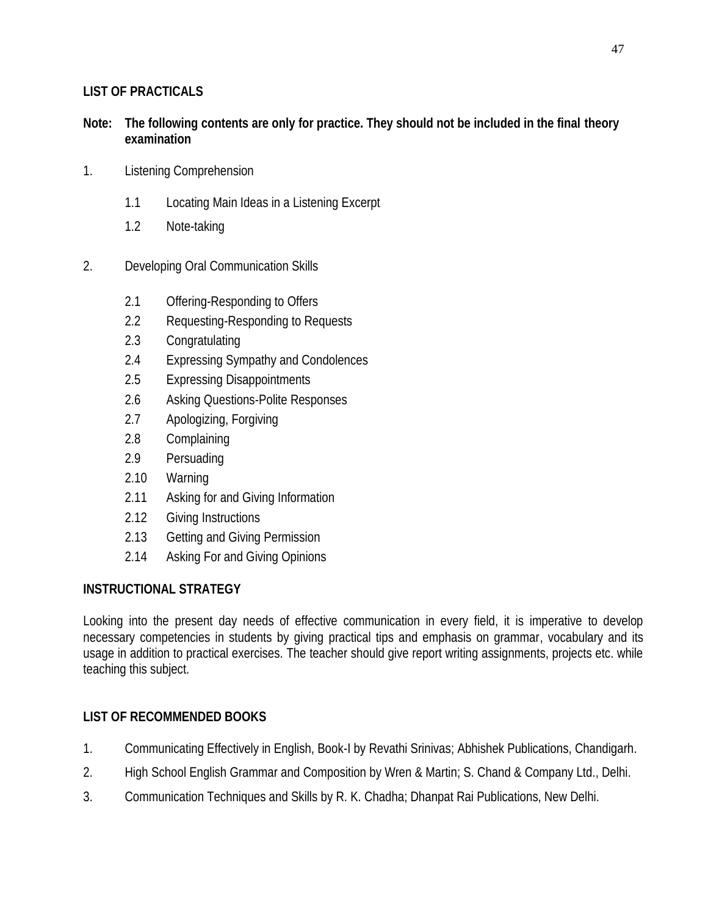# **LIST OF PRACTICALS**

## **Note: The following contents are only for practice. They should not be included in the final theory examination**

- 1. Listening Comprehension
	- 1.1 Locating Main Ideas in a Listening Excerpt
	- 1.2 Note-taking
- 2. Developing Oral Communication Skills
	- 2.1 Offering-Responding to Offers
	- 2.2 Requesting-Responding to Requests
	- 2.3 Congratulating
	- 2.4 Expressing Sympathy and Condolences
	- 2.5 Expressing Disappointments
	- 2.6 Asking Questions-Polite Responses
	- 2.7 Apologizing, Forgiving
	- 2.8 Complaining
	- 2.9 Persuading
	- 2.10 Warning
	- 2.11 Asking for and Giving Information
	- 2.12 Giving Instructions
	- 2.13 Getting and Giving Permission
	- 2.14 Asking For and Giving Opinions

## **INSTRUCTIONAL STRATEGY**

Looking into the present day needs of effective communication in every field, it is imperative to develop necessary competencies in students by giving practical tips and emphasis on grammar, vocabulary and its usage in addition to practical exercises. The teacher should give report writing assignments, projects etc. while teaching this subject.

## **LIST OF RECOMMENDED BOOKS**

- 1. Communicating Effectively in English, Book-I by Revathi Srinivas; Abhishek Publications, Chandigarh.
- 2. High School English Grammar and Composition by Wren & Martin; S. Chand & Company Ltd., Delhi.
- 3. Communication Techniques and Skills by R. K. Chadha; Dhanpat Rai Publications, New Delhi.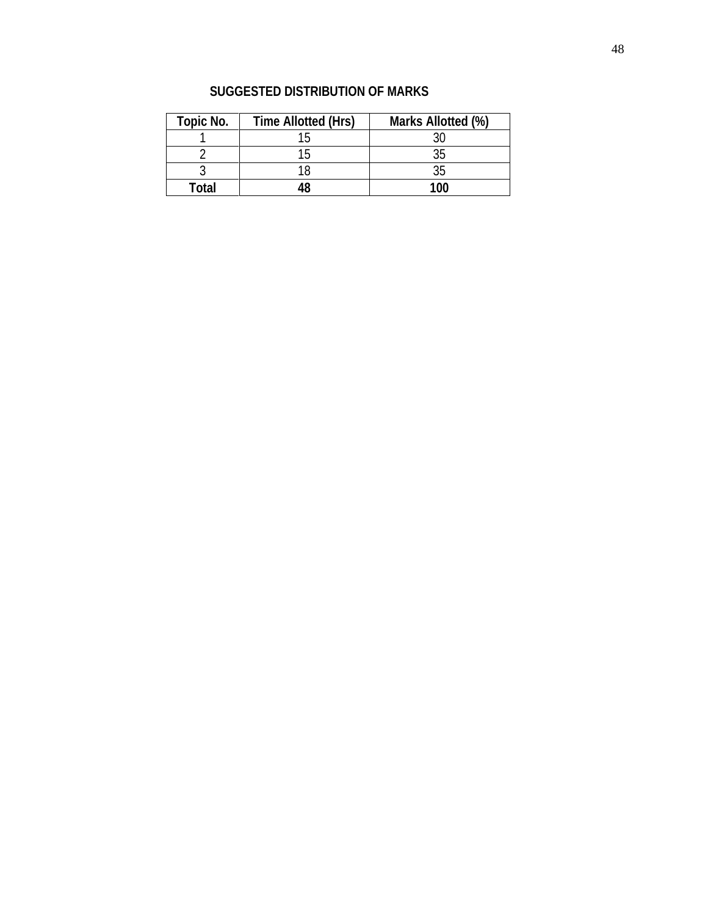| <b>Topic No.</b> | <b>Time Allotted (Hrs)</b> | Marks Allotted (%) |  |  |
|------------------|----------------------------|--------------------|--|--|
|                  | 15                         | 30                 |  |  |
|                  | 15                         | 35                 |  |  |
|                  | 18                         | 35                 |  |  |
| Total            | 18                         | 1ሰበ                |  |  |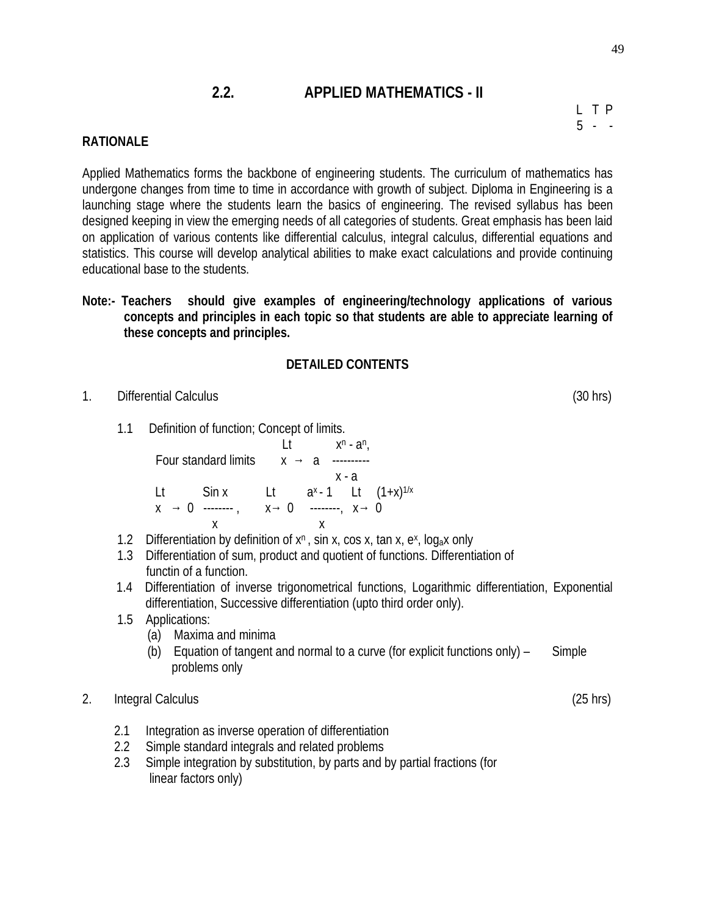# **2.2. APPLIED MATHEMATICS - II**

L T P  $5 - -$ 

## **RATIONALE**

Applied Mathematics forms the backbone of engineering students. The curriculum of mathematics has undergone changes from time to time in accordance with growth of subject. Diploma in Engineering is a launching stage where the students learn the basics of engineering. The revised syllabus has been designed keeping in view the emerging needs of all categories of students. Great emphasis has been laid on application of various contents like differential calculus, integral calculus, differential equations and statistics. This course will develop analytical abilities to make exact calculations and provide continuing educational base to the students.

**Note:- Teachers should give examples of engineering/technology applications of various concepts and principles in each topic so that students are able to appreciate learning of these concepts and principles.**

### **DETAILED CONTENTS**

- 1. Differential Calculus (30 hrs)
	- 1.1 Definition of function; Concept of limits.

|                             |                                |  | I t          |                   |     | x <sup>n</sup> - a <sup>n</sup> , |  |
|-----------------------------|--------------------------------|--|--------------|-------------------|-----|-----------------------------------|--|
| <b>Four standard limits</b> |                                |  | $\mathsf{X}$ |                   |     |                                   |  |
|                             |                                |  |              |                   | x-a |                                   |  |
| -lt                         | Sin x Lt ax-1 Lt $(1+x)^{1/x}$ |  |              |                   |     |                                   |  |
| $\mathsf{X}$                | $0 -$                          |  |              | x 0 --------, x 0 |     |                                   |  |
|                             |                                |  |              |                   |     |                                   |  |

- 1.2 Differentiation by definition of  $x<sup>n</sup>$ , sin x,  $\cos x$ , tan x, e<sup>x</sup>, log<sub>a</sub>x only
- 1.3 Differentiation of sum, product and quotient of functions. Differentiation of functin of a function.
- 1.4 Differentiation of inverse trigonometrical functions, Logarithmic differentiation, Exponential differentiation, Successive differentiation (upto third order only).
- 1.5 Applications:
	- (a) Maxima and minima
	- (b) Equation of tangent and normal to a curve (for explicit functions only)  $-$  Simple problems only

#### 2. Integral Calculus (25 hrs)

- 2.1 Integration as inverse operation of differentiation
- 2.2 Simple standard integrals and related problems
- 2.3 Simple integration by substitution, by parts and by partial fractions (for linear factors only)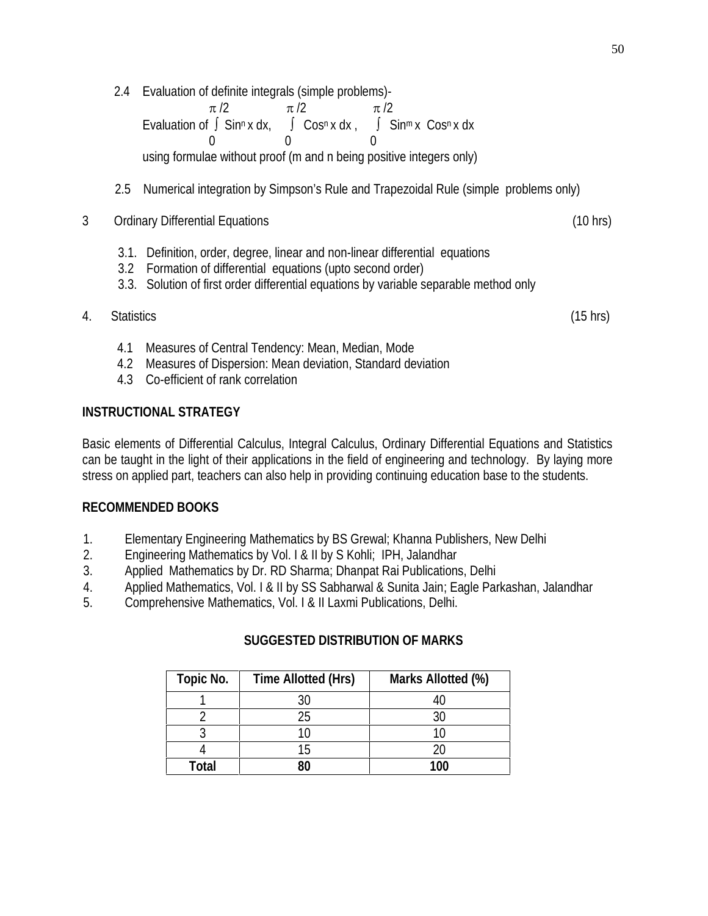2.4 Evaluation of definite integrals (simple problems)-

 $\pi/2$   $\pi/2$   $\pi/2$ Evaluation of  $\int$  Sin<sup>n</sup> x dx,  $\int$  Cos<sup>n</sup> x dx,  $\int$  Sin<sup>m</sup> x Cos<sup>n</sup> x dx 0 0 0 using formulae without proof (m and n being positive integers only)

- 2.5 Numerical integration by Simpson's Rule and Trapezoidal Rule (simple problems only)
- 3 Ordinary Differential Equations (10 hrs)
	- 3.1. Definition, order, degree, linear and non-linear differential equations
	- 3.2 Formation of differential equations (upto second order)
	- 3.3. Solution of first order differential equations by variable separable method only
- 4. Statistics (15 hrs)

- 4.1 Measures of Central Tendency: Mean, Median, Mode
- 4.2 Measures of Dispersion: Mean deviation, Standard deviation
- 4.3 Co-efficient of rank correlation

## **INSTRUCTIONAL STRATEGY**

Basic elements of Differential Calculus, Integral Calculus, Ordinary Differential Equations and Statistics can be taught in the light of their applications in the field of engineering and technology. By laying more stress on applied part, teachers can also help in providing continuing education base to the students.

## **RECOMMENDED BOOKS**

- 1. Elementary Engineering Mathematics by BS Grewal; Khanna Publishers, New Delhi
- 2. Engineering Mathematics by Vol. I & II by S Kohli; IPH, Jalandhar
- 3. Applied Mathematics by Dr. RD Sharma; Dhanpat Rai Publications, Delhi
- 4. Applied Mathematics, Vol. I & II by SS Sabharwal & Sunita Jain; Eagle Parkashan, Jalandhar
- 5. Comprehensive Mathematics, Vol. I & II Laxmi Publications, Delhi.

| <b>Topic No.</b> | <b>Time Allotted (Hrs)</b> | Marks Allotted (%) |  |  |
|------------------|----------------------------|--------------------|--|--|
|                  | ৭০                         | 40                 |  |  |
|                  | 25                         | 30                 |  |  |
|                  | 10                         | 10                 |  |  |
|                  | 15                         | 20                 |  |  |
| Total            | ନ୍ଧଠ                       | 100                |  |  |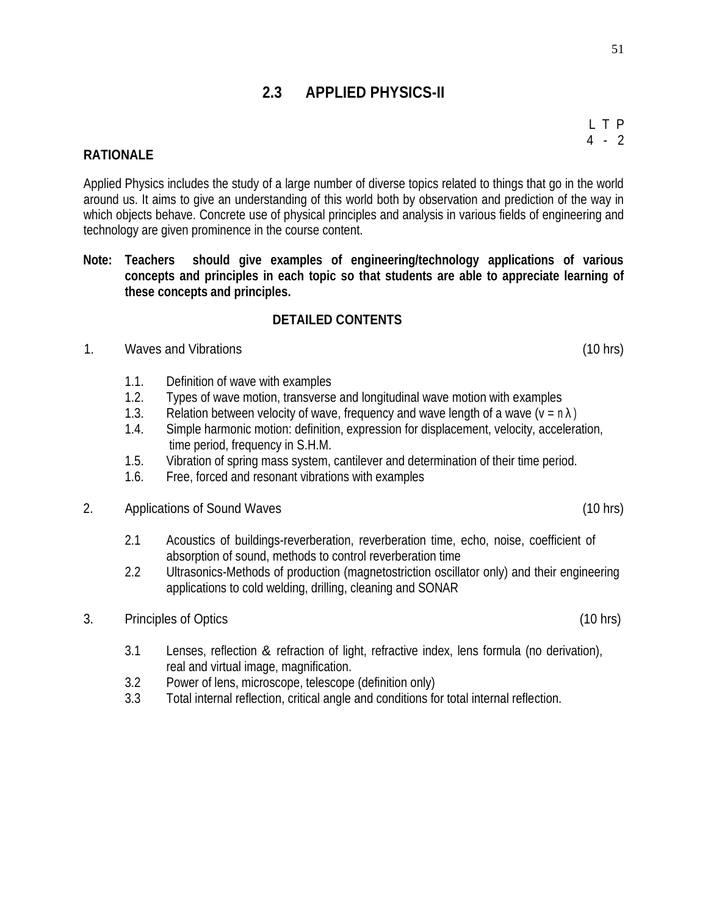L T P 4 - 2

# **2.3 APPLIED PHYSICS-II**

### **RATIONALE**

Applied Physics includes the study of a large number of diverse topics related to things that go in the world around us. It aims to give an understanding of this world both by observation and prediction of the way in which objects behave. Concrete use of physical principles and analysis in various fields of engineering and technology are given prominence in the course content.

## **Note: Teachers should give examples of engineering/technology applications of various concepts and principles in each topic so that students are able to appreciate learning of these concepts and principles.**

## **DETAILED CONTENTS**

- 1. Waves and Vibrations (10 hrs)
	- 1.1. Definition of wave with examples
	- 1.2. Types of wave motion, transverse and longitudinal wave motion with examples
	- 1.3. Relation between velocity of wave, frequency and wave length of a wave  $(v = n)$
	- 1.4. Simple harmonic motion: definition, expression for displacement, velocity, acceleration, time period, frequency in S.H.M.
	- 1.5. Vibration of spring mass system, cantilever and determination of their time period.
	- 1.6. Free, forced and resonant vibrations with examples
- 2. Applications of Sound Waves (10 hrs)
	- 2.1 Acoustics of buildings-reverberation, reverberation time, echo, noise, coefficient of absorption of sound, methods to control reverberation time
	- 2.2 Ultrasonics-Methods of production (magnetostriction oscillator only) and their engineering applications to cold welding, drilling, cleaning and SONAR
- 3. Principles of Optics (10 hrs)
	- 3.1 Lenses, reflection & refraction of light, refractive index, lens formula (no derivation), real and virtual image, magnification.
	- 3.2 Power of lens, microscope, telescope (definition only)
	- 3.3 Total internal reflection, critical angle and conditions for total internal reflection.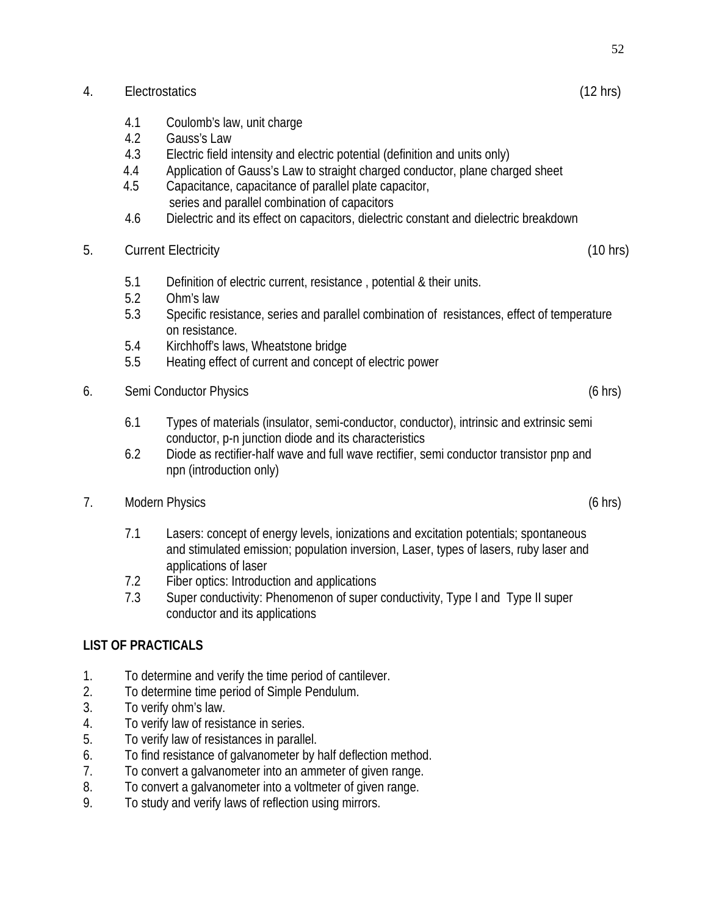## 4. Electrostatics (12 hrs)

- 4.1 Coulomb's law, unit charge
- 4.2 Gauss's Law
- 4.3 Electric field intensity and electric potential (definition and units only)
- 4.4 Application of Gauss's Law to straight charged conductor, plane charged sheet
- 4.5 Capacitance, capacitance of parallel plate capacitor, series and parallel combination of capacitors
- 4.6 Dielectric and its effect on capacitors, dielectric constant and dielectric breakdown
- 5. Current Electricity (10 hrs)
	- 5.1 Definition of electric current, resistance , potential & their units.
	- 5.2 Ohm's law
	- 5.3 Specific resistance, series and parallel combination of resistances, effect of temperature on resistance.
	- 5.4 Kirchhoff's laws, Wheatstone bridge
	- 5.5 Heating effect of current and concept of electric power
- 6. Semi Conductor Physics (6 hrs)
	- 6.1 Types of materials (insulator, semi-conductor, conductor), intrinsic and extrinsic semi conductor, p-n junction diode and its characteristics
	- 6.2 Diode as rectifier-half wave and full wave rectifier, semi conductor transistor pnp and npn (introduction only)
- 7. Modern Physics (6 hrs)
	- 7.1 Lasers: concept of energy levels, ionizations and excitation potentials; spontaneous and stimulated emission; population inversion, Laser, types of lasers, ruby laser and applications of laser
	- 7.2 Fiber optics: Introduction and applications
	- 7.3 Super conductivity: Phenomenon of super conductivity, Type I and Type II super conductor and its applications

# **LIST OF PRACTICALS**

- 1. To determine and verify the time period of cantilever.
- 2. To determine time period of Simple Pendulum.
- 3. To verify ohm's law.
- 4. To verify law of resistance in series.
- 5. To verify law of resistances in parallel.
- 6. To find resistance of galvanometer by half deflection method.
- 7. To convert a galvanometer into an ammeter of given range.
- 8. To convert a galvanometer into a voltmeter of given range.
- 9. To study and verify laws of reflection using mirrors.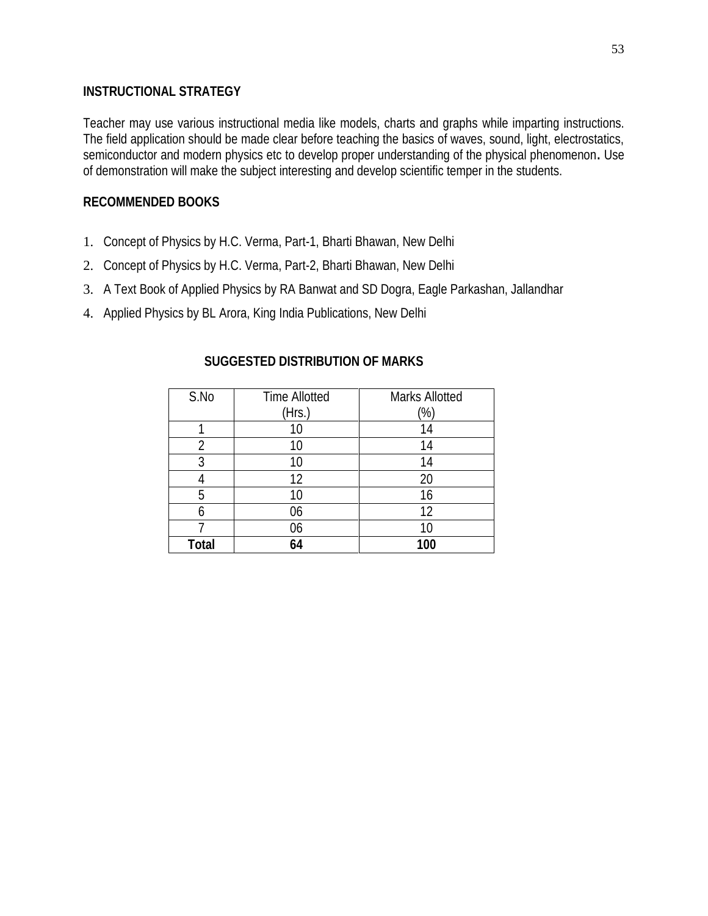## **INSTRUCTIONAL STRATEGY**

Teacher may use various instructional media like models, charts and graphs while imparting instructions. The field application should be made clear before teaching the basics of waves, sound, light, electrostatics, semiconductor and modern physics etc to develop proper understanding of the physical phenomenon**.** Use of demonstration will make the subject interesting and develop scientific temper in the students.

## **RECOMMENDED BOOKS**

- 1. Concept of Physics by H.C. Verma, Part-1, Bharti Bhawan, New Delhi
- 2. Concept of Physics by H.C. Verma, Part-2, Bharti Bhawan, New Delhi
- 3. A Text Book of Applied Physics by RA Banwat and SD Dogra, Eagle Parkashan, Jallandhar
- 4. Applied Physics by BL Arora, King India Publications, New Delhi

| SUGGESTED DISTRIBUTION OF MARKS |  |
|---------------------------------|--|
|---------------------------------|--|

| S.No         | <b>Time Allotted</b> | <b>Marks Allotted</b> |
|--------------|----------------------|-----------------------|
|              | (Hrs.)               | $\frac{1}{2}$         |
|              | 10                   | 14                    |
| 2            | 10                   | 14                    |
| 3            | 10                   | 14                    |
|              | 12                   | 20                    |
| 5            | 10                   | 16                    |
| 6            | 06                   | 12                    |
|              | 06                   | 10                    |
| <b>Total</b> | 64                   | 100                   |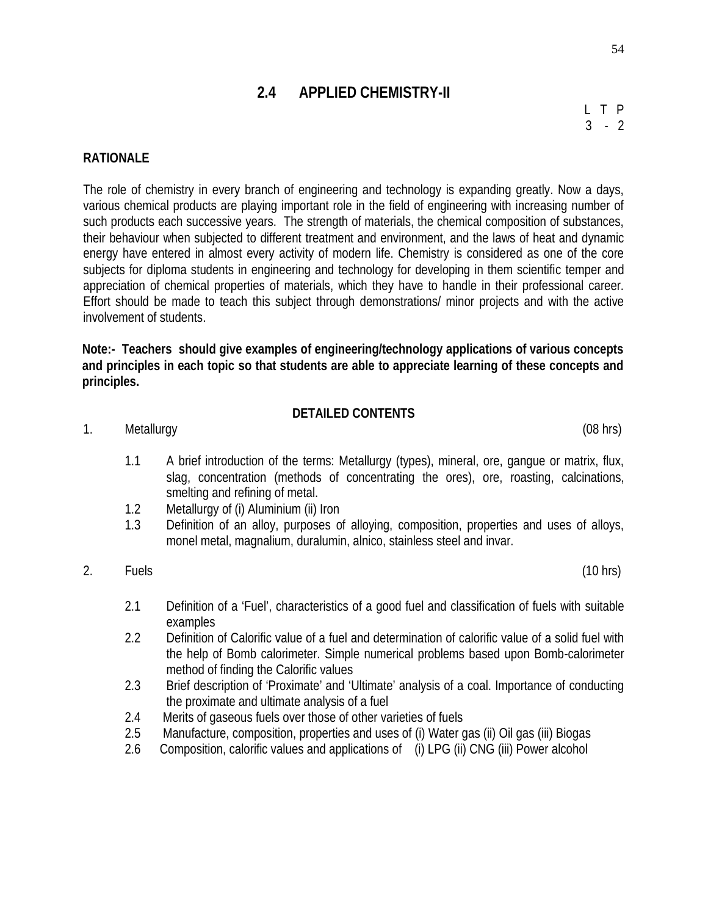# **2.4 APPLIED CHEMISTRY-II**

L T P  $3 - 2$ 

## **RATIONALE**

The role of chemistry in every branch of engineering and technology is expanding greatly. Now a days, various chemical products are playing important role in the field of engineering with increasing number of such products each successive years. The strength of materials, the chemical composition of substances, their behaviour when subjected to different treatment and environment, and the laws of heat and dynamic energy have entered in almost every activity of modern life. Chemistry is considered as one of the core subjects for diploma students in engineering and technology for developing in them scientific temper and appreciation of chemical properties of materials, which they have to handle in their professional career. Effort should be made to teach this subject through demonstrations/ minor projects and with the active involvement of students.

**Note:- Teachers should give examples of engineering/technology applications of various concepts and principles in each topic so that students are able to appreciate learning of these concepts and principles.**

#### **DETAILED CONTENTS**

1. Metallurgy (08 hrs)

- 1.1 A brief introduction of the terms: Metallurgy (types), mineral, ore, gangue or matrix, flux, slag, concentration (methods of concentrating the ores), ore, roasting, calcinations, smelting and refining of metal.
- 1.2 Metallurgy of (i) Aluminium (ii) Iron
- 1.3 Definition of an alloy, purposes of alloying, composition, properties and uses of alloys, monel metal, magnalium, duralumin, alnico, stainless steel and invar.

## 2. Fuels (10 hrs)

- 2.1 Definition of a 'Fuel', characteristics of a good fuel and classification of fuels with suitable examples
- 2.2 Definition of Calorific value of a fuel and determination of calorific value of a solid fuel with the help of Bomb calorimeter. Simple numerical problems based upon Bomb-calorimeter method of finding the Calorific values
- 2.3 Brief description of 'Proximate' and 'Ultimate' analysis of a coal. Importance of conducting the proximate and ultimate analysis of a fuel
- 2.4 Merits of gaseous fuels over those of other varieties of fuels
- 2.5 Manufacture, composition, properties and uses of (i) Water gas (ii) Oil gas (iii) Biogas
- 2.6 Composition, calorific values and applications of (i) LPG (ii) CNG (iii) Power alcohol

54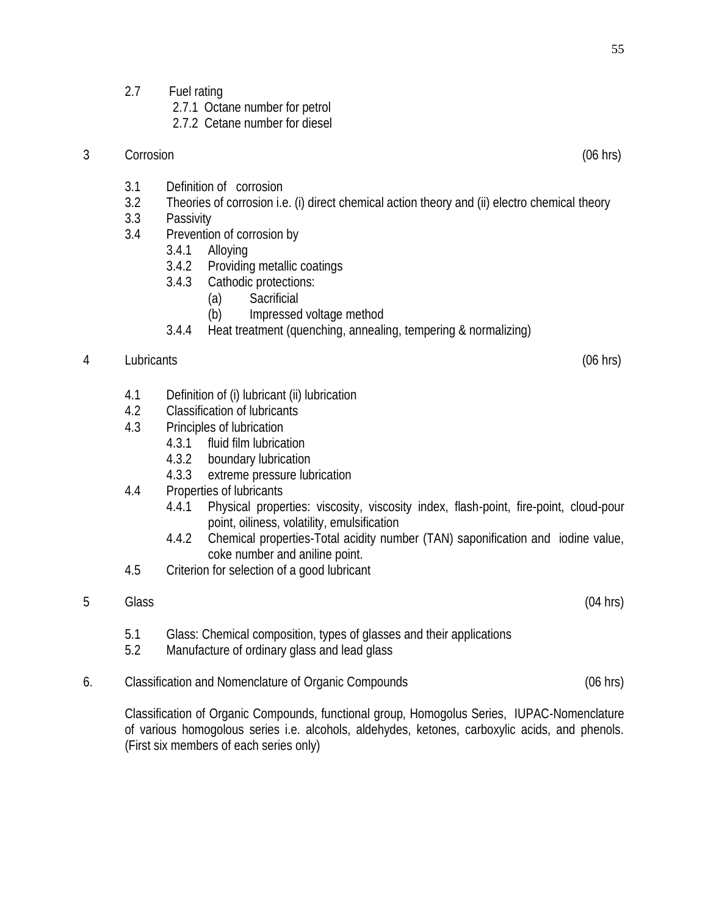2.7 Fuel rating

2.7.1 Octane number for petrol

2.7.2 Cetane number for diesel

- 3 Corrosion (06 hrs)
	- 3.1 Definition of corrosion
	- 3.2 Theories of corrosion i.e. (i) direct chemical action theory and (ii) electro chemical theory
	- 3.3 Passivity
	- 3.4 Prevention of corrosion by
		- 3.4.1 Alloying
		- 3.4.2 Providing metallic coatings
		- 3.4.3 Cathodic protections:
			- (a) Sacrificial
				- (b) Impressed voltage method
		- 3.4.4 Heat treatment (quenching, annealing, tempering & normalizing)
- 4 Lubricants (06 hrs)

- 4.1 Definition of (i) lubricant (ii) lubrication
- 4.2 Classification of lubricants
- 4.3 Principles of lubrication
	- 4.3.1 fluid film lubrication
	- 4.3.2 boundary lubrication
	- 4.3.3 extreme pressure lubrication
- 4.4 Properties of lubricants
	- 4.4.1 Physical properties: viscosity, viscosity index, flash-point, fire-point, cloud-pour point, oiliness, volatility, emulsification
	- 4.4.2 Chemical properties-Total acidity number (TAN) saponification and iodine value, coke number and aniline point.
- 4.5 Criterion for selection of a good lubricant
- 5 Glass (04 hrs)

- 5.1 Glass: Chemical composition, types of glasses and their applications
- 5.2 Manufacture of ordinary glass and lead glass
- 6. Classification and Nomenclature of Organic Compounds (06 hrs)

Classification of Organic Compounds, functional group, Homogolus Series, IUPAC-Nomenclature of various homogolous series i.e. alcohols, aldehydes, ketones, carboxylic acids, and phenols. (First six members of each series only)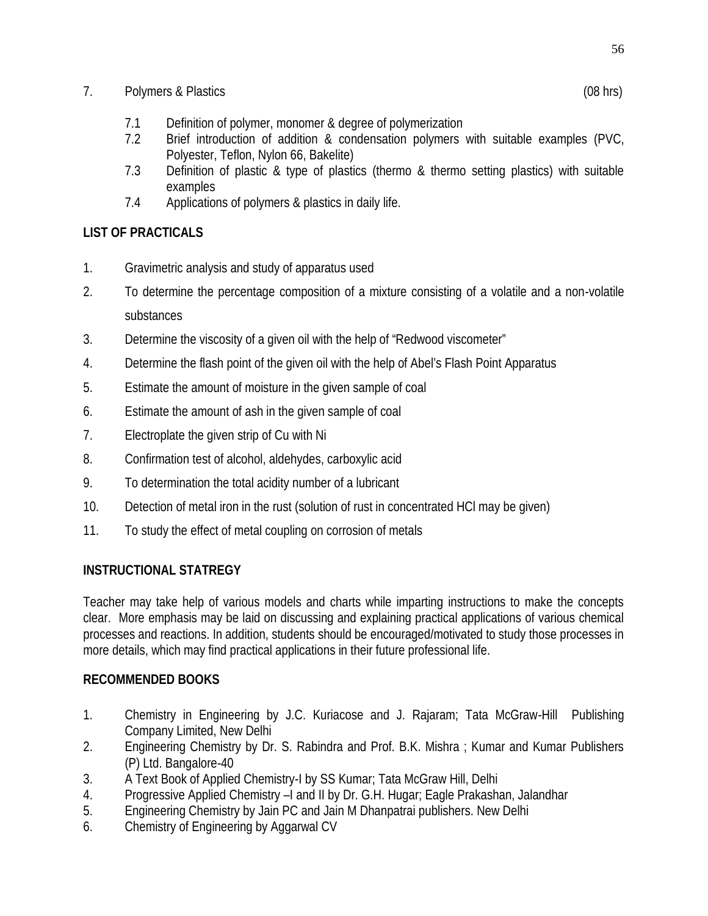## 7. Polymers & Plastics (08 hrs)

- 7.1 Definition of polymer, monomer & degree of polymerization
- 7.2 Brief introduction of addition & condensation polymers with suitable examples (PVC, Polyester, Teflon, Nylon 66, Bakelite)
- 7.3 Definition of plastic & type of plastics (thermo & thermo setting plastics) with suitable examples
- 7.4 Applications of polymers & plastics in daily life.

# **LIST OF PRACTICALS**

- 1. Gravimetric analysis and study of apparatus used
- 2. To determine the percentage composition of a mixture consisting of a volatile and a non-volatile substances
- 3. Determine the viscosity of a given oil with the help of "Redwood viscometer"
- 4. Determine the flash point of the given oil with the help of Abel's Flash Point Apparatus
- 5. Estimate the amount of moisture in the given sample of coal
- 6. Estimate the amount of ash in the given sample of coal
- 7. Electroplate the given strip of Cu with Ni
- 8. Confirmation test of alcohol, aldehydes, carboxylic acid
- 9. To determination the total acidity number of a lubricant
- 10. Detection of metal iron in the rust (solution of rust in concentrated HCl may be given)
- 11. To study the effect of metal coupling on corrosion of metals

# **INSTRUCTIONAL STATREGY**

Teacher may take help of various models and charts while imparting instructions to make the concepts clear. More emphasis may be laid on discussing and explaining practical applications of various chemical processes and reactions. In addition, students should be encouraged/motivated to study those processes in more details, which may find practical applications in their future professional life.

# **RECOMMENDED BOOKS**

- 1. Chemistry in Engineering by J.C. Kuriacose and J. Rajaram; Tata McGraw-Hill Publishing Company Limited, New Delhi
- 2. Engineering Chemistry by Dr. S. Rabindra and Prof. B.K. Mishra ; Kumar and Kumar Publishers (P) Ltd. Bangalore-40
- 3. A Text Book of Applied Chemistry-I by SS Kumar; Tata McGraw Hill, Delhi
- 4. Progressive Applied Chemistry –I and II by Dr. G.H. Hugar; Eagle Prakashan, Jalandhar
- 5. Engineering Chemistry by Jain PC and Jain M Dhanpatrai publishers. New Delhi
- 6. Chemistry of Engineering by Aggarwal CV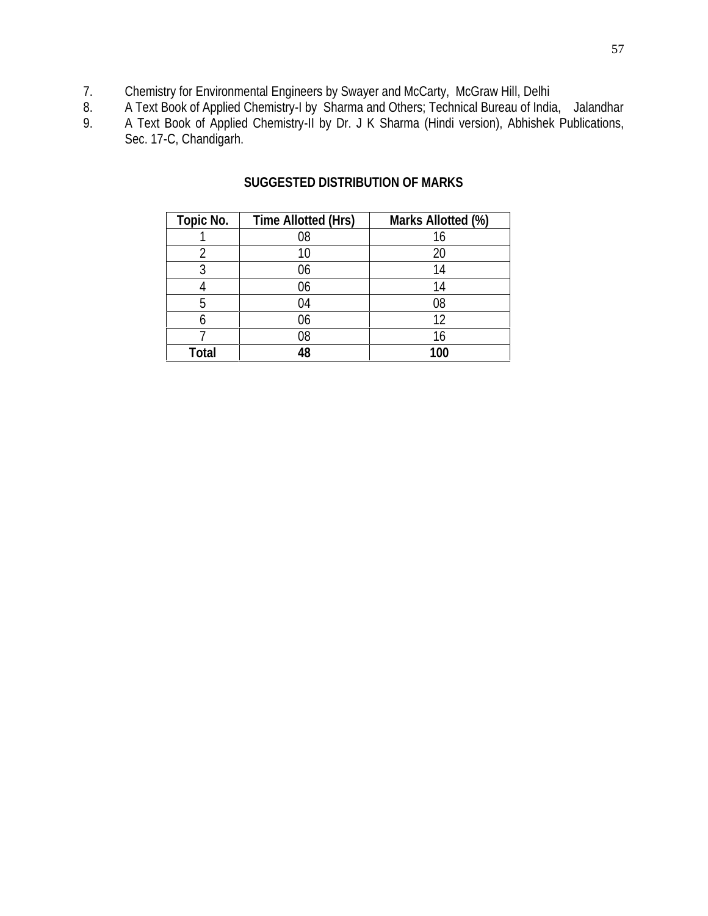- 7. Chemistry for Environmental Engineers by Swayer and McCarty, McGraw Hill, Delhi
- 8. A Text Book of Applied Chemistry-I by Sharma and Others; Technical Bureau of India, Jalandhar
- 9. A Text Book of Applied Chemistry-II by Dr. J K Sharma (Hindi version), Abhishek Publications, Sec. 17-C, Chandigarh.

| <b>Topic No.</b> | <b>Time Allotted (Hrs)</b> | Marks Allotted (%) |
|------------------|----------------------------|--------------------|
|                  | 08                         | 16                 |
| 2                | 10                         | 20                 |
| 3                | 06                         | 14                 |
|                  | 06                         | 14                 |
| 5                | 04                         | 08                 |
| հ                | 06                         | 12                 |
|                  | 08                         | 16                 |
| Total            | 12                         | 100                |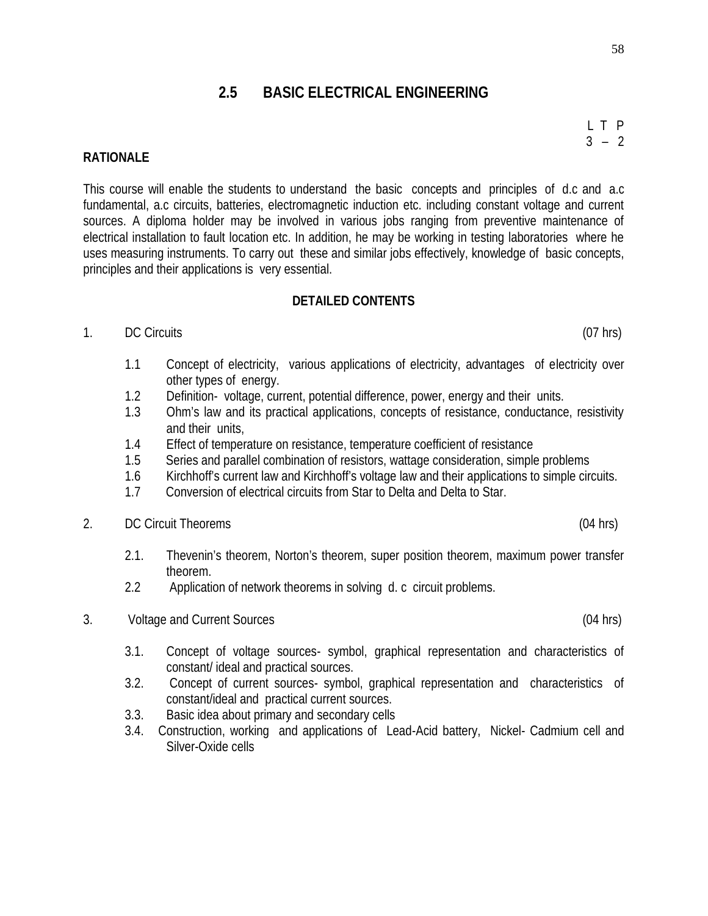# **2.5 BASIC ELECTRICAL ENGINEERING**

**RATIONALE**

This course will enable the students to understand the basic concepts and principles of d.c and a.c fundamental, a.c circuits, batteries, electromagnetic induction etc. including constant voltage and current sources. A diploma holder may be involved in various jobs ranging from preventive maintenance of electrical installation to fault location etc. In addition, he may be working in testing laboratories where he uses measuring instruments. To carry out these and similar jobs effectively, knowledge of basic concepts, principles and their applications is very essential.

#### **DETAILED CONTENTS**

#### 1. DC Circuits (07 hrs)

- 1.1 Concept of electricity, various applications of electricity, advantages of electricity over other types of energy.
- 1.2 Definition- voltage, current, potential difference, power, energy and their units.
- 1.3 Ohm's law and its practical applications, concepts of resistance, conductance, resistivity and their units,
- 1.4 Effect of temperature on resistance, temperature coefficient of resistance
- 1.5 Series and parallel combination of resistors, wattage consideration, simple problems
- 1.6 Kirchhoff's current law and Kirchhoff's voltage law and their applications to simple circuits.
- 1.7 Conversion of electrical circuits from Star to Delta and Delta to Star.
- 2. DC Circuit Theorems (04 hrs)
	- 2.1. Thevenin's theorem, Norton's theorem, super position theorem, maximum power transfer theorem.
	- 2.2 Application of network theorems in solving d. c circuit problems.
- 3. Voltage and Current Sources (04 hrs)
	- 3.1. Concept of voltage sources- symbol, graphical representation and characteristics of constant/ ideal and practical sources.
	- 3.2. Concept of current sources- symbol, graphical representation and characteristics of constant/ideal and practical current sources.
	- 3.3. Basic idea about primary and secondary cells
	- 3.4. Construction, working and applications of Lead-Acid battery, Nickel- Cadmium cell and Silver-Oxide cells

L T P  $3 - 2$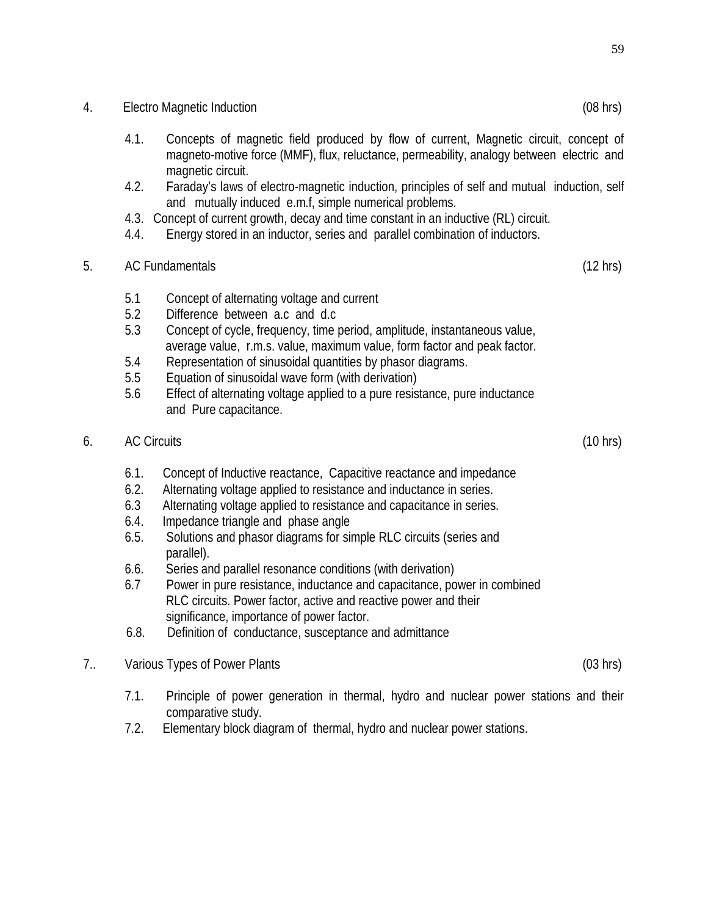#### 4. Electro Magnetic Induction (08 hrs)

- 4.1. Concepts of magnetic field produced by flow of current, Magnetic circuit, concept of magneto-motive force (MMF), flux, reluctance, permeability, analogy between electric and magnetic circuit.
- 4.2. Faraday's laws of electro-magnetic induction, principles of self and mutual induction, self and mutually induced e.m.f, simple numerical problems.
- 4.3. Concept of current growth, decay and time constant in an inductive (RL) circuit.
- 4.4. Energy stored in an inductor, series and parallel combination of inductors.

## 5. AC Fundamentals (12 hrs)

- 5.1 Concept of alternating voltage and current
- 5.2 Difference between a.c and d.c
- 5.3 Concept of cycle, frequency, time period, amplitude, instantaneous value, average value, r.m.s. value, maximum value, form factor and peak factor.
- 5.4 Representation of sinusoidal quantities by phasor diagrams.
- 5.5 Equation of sinusoidal wave form (with derivation)
- 5.6 Effect of alternating voltage applied to a pure resistance, pure inductance and Pure capacitance.
- 6. AC Circuits (10 hrs)
	- 6.1. Concept of Inductive reactance, Capacitive reactance and impedance
	- 6.2. Alternating voltage applied to resistance and inductance in series.
	- 6.3 Alternating voltage applied to resistance and capacitance in series.
	- 6.4. Impedance triangle and phase angle
	- 6.5. Solutions and phasor diagrams for simple RLC circuits (series and parallel).
	- 6.6. Series and parallel resonance conditions (with derivation)
	- 6.7 Power in pure resistance, inductance and capacitance, power in combined RLC circuits. Power factor, active and reactive power and their significance, importance of power factor.
	- 6.8. Definition of conductance, susceptance and admittance
- 7.. Various Types of Power Plants (03 hrs)
	- 7.1. Principle of power generation in thermal, hydro and nuclear power stations and their comparative study.
	- 7.2. Elementary block diagram of thermal, hydro and nuclear power stations.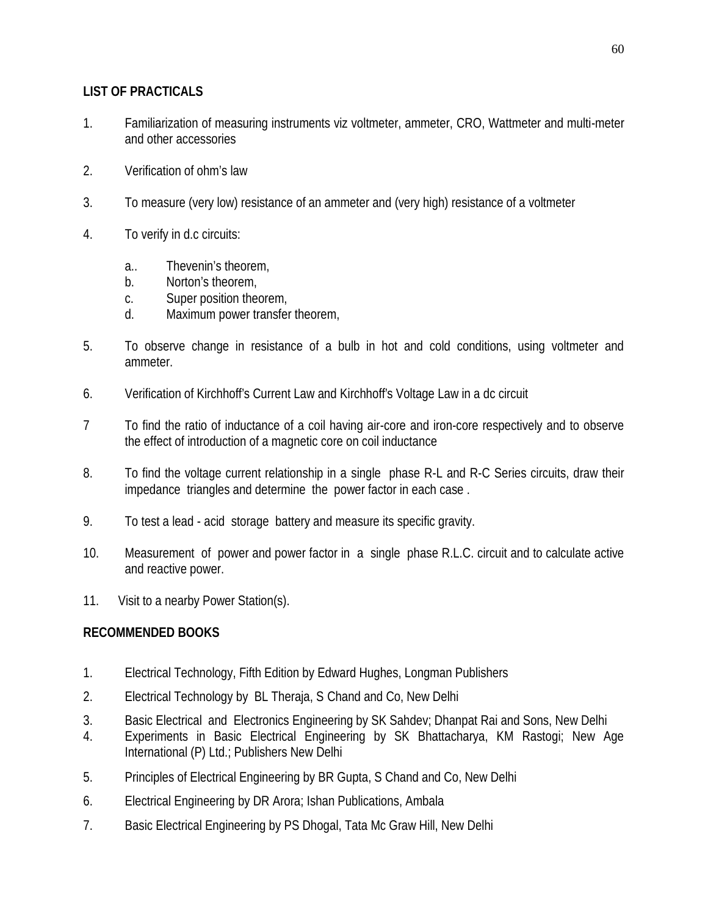## **LIST OF PRACTICALS**

- 1. Familiarization of measuring instruments viz voltmeter, ammeter, CRO, Wattmeter and multi-meter and other accessories
- 2. Verification of ohm's law
- 3. To measure (very low) resistance of an ammeter and (very high) resistance of a voltmeter
- 4. To verify in d.c circuits:
	- a.. Thevenin's theorem,
	- b. Norton's theorem,
	- c. Super position theorem,
	- d. Maximum power transfer theorem,
- 5. To observe change in resistance of a bulb in hot and cold conditions, using voltmeter and ammeter.
- 6. Verification of Kirchhoff's Current Law and Kirchhoff's Voltage Law in a dc circuit
- 7 To find the ratio of inductance of a coil having air-core and iron-core respectively and to observe the effect of introduction of a magnetic core on coil inductance
- 8. To find the voltage current relationship in a single phase R-L and R-C Series circuits, draw their impedance triangles and determine the power factor in each case .
- 9. To test a lead acid storage battery and measure its specific gravity.
- 10. Measurement of power and power factor in a single phase R.L.C. circuit and to calculate active and reactive power.
- 11. Visit to a nearby Power Station(s).

# **RECOMMENDED BOOKS**

- 1. Electrical Technology, Fifth Edition by Edward Hughes, Longman Publishers
- 2. Electrical Technology by BL Theraja, S Chand and Co, New Delhi
- 3. Basic Electrical and Electronics Engineering by SK Sahdev; Dhanpat Rai and Sons, New Delhi
- 4. Experiments in Basic Electrical Engineering by SK Bhattacharya, KM Rastogi; New Age International (P) Ltd.; Publishers New Delhi
- 5. Principles of Electrical Engineering by BR Gupta, S Chand and Co, New Delhi
- 6. Electrical Engineering by DR Arora; Ishan Publications, Ambala
- 7. Basic Electrical Engineering by PS Dhogal, Tata Mc Graw Hill, New Delhi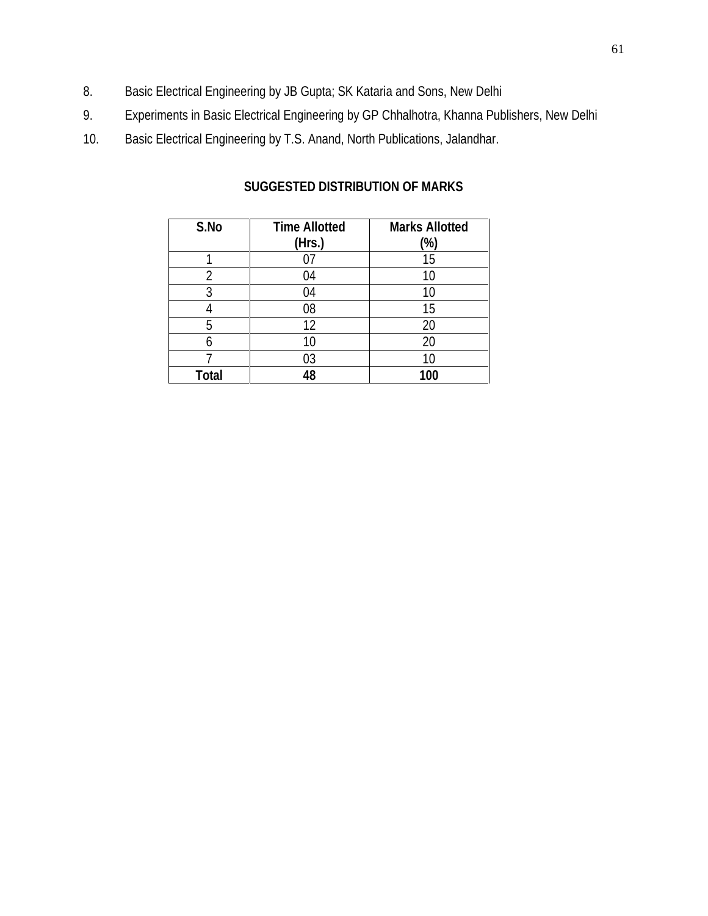- 8. Basic Electrical Engineering by JB Gupta; SK Kataria and Sons, New Delhi
- 9. Experiments in Basic Electrical Engineering by GP Chhalhotra, Khanna Publishers, New Delhi
- 10. Basic Electrical Engineering by T.S. Anand, North Publications, Jalandhar.

| S.No  | <b>Time Allotted</b><br>(Hrs.) | <b>Marks Allotted</b><br>(%) |
|-------|--------------------------------|------------------------------|
|       |                                | 15                           |
| 2     | 04                             | 10                           |
| 3     | 04                             | 10                           |
|       | 08                             | 15                           |
| 5     | 12                             | 20                           |
| հ     | 10                             |                              |
|       | 03                             | 10                           |
| Total | 18                             | 100                          |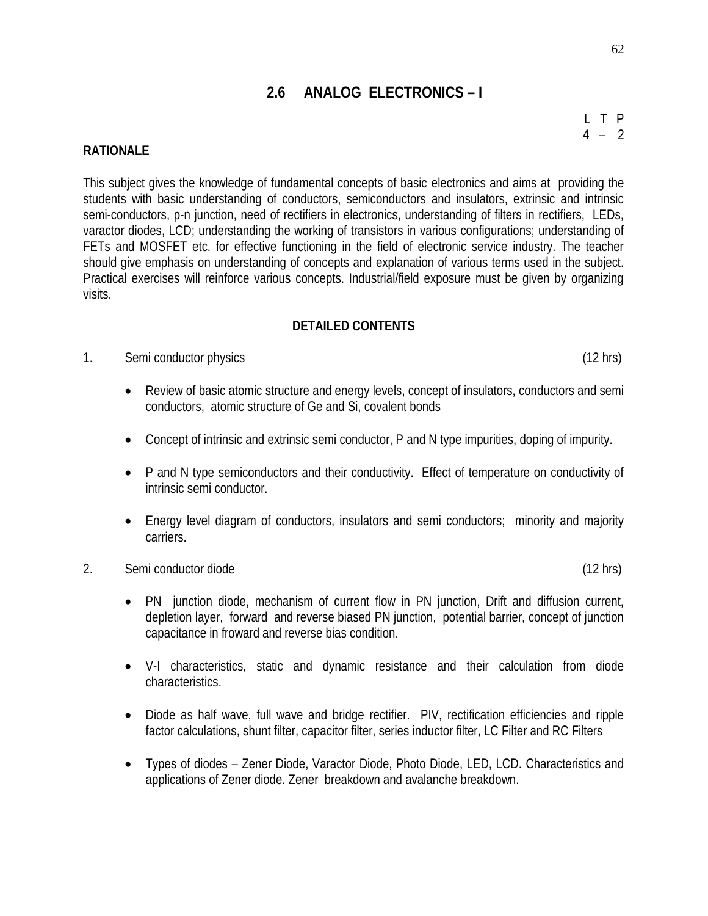# **2.6 ANALOG ELECTRONICS – I**

#### **RATIONALE**

This subject gives the knowledge of fundamental concepts of basic electronics and aims at providing the students with basic understanding of conductors, semiconductors and insulators, extrinsic and intrinsic semi-conductors, p-n junction, need of rectifiers in electronics, understanding of filters in rectifiers, LEDs, varactor diodes, LCD; understanding the working of transistors in various configurations; understanding of FETs and MOSFET etc. for effective functioning in the field of electronic service industry. The teacher should give emphasis on understanding of concepts and explanation of various terms used in the subject. Practical exercises will reinforce various concepts. Industrial/field exposure must be given by organizing visits.

#### **DETAILED CONTENTS**

#### 1. Semi conductor physics (12 hrs)

- Review of basic atomic structure and energy levels, concept of insulators, conductors and semi conductors, atomic structure of Ge and Si, covalent bonds
- Concept of intrinsic and extrinsic semi conductor, P and N type impurities, doping of impurity.
- P and N type semiconductors and their conductivity. Effect of temperature on conductivity of intrinsic semi conductor.
- Energy level diagram of conductors, insulators and semi conductors; minority and majority carriers.

## 2. Semi conductor diode (12 hrs)

- PN junction diode, mechanism of current flow in PN junction, Drift and diffusion current, depletion layer, forward and reverse biased PN junction, potential barrier, concept of junction capacitance in froward and reverse bias condition.
- V-I characteristics, static and dynamic resistance and their calculation from diode characteristics.
- Diode as half wave, full wave and bridge rectifier. PIV, rectification efficiencies and ripple factor calculations, shunt filter, capacitor filter, series inductor filter, LC Filter and RC Filters
- Types of diodes Zener Diode, Varactor Diode, Photo Diode, LED, LCD. Characteristics and applications of Zener diode. Zener breakdown and avalanche breakdown.

L T P  $4 - 2$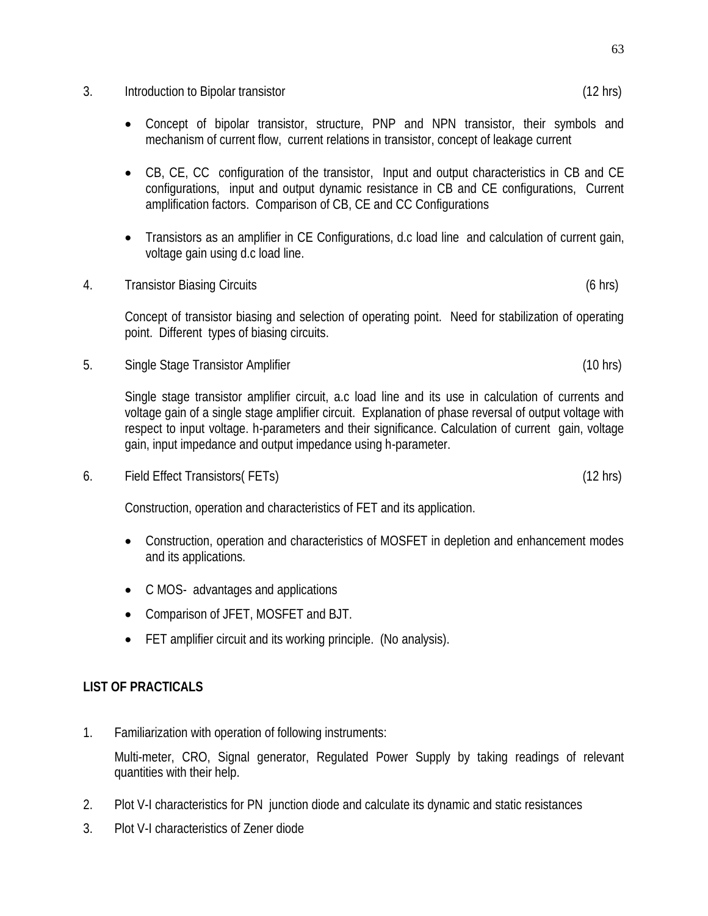- 3. Introduction to Bipolar transistor (12 hrs)
	- Concept of bipolar transistor, structure, PNP and NPN transistor, their symbols and mechanism of current flow, current relations in transistor, concept of leakage current
	- CB, CE, CC configuration of the transistor, Input and output characteristics in CB and CE configurations, input and output dynamic resistance in CB and CE configurations, Current amplification factors. Comparison of CB, CE and CC Configurations
	- Transistors as an amplifier in CE Configurations, d.c load line and calculation of current gain, voltage gain using d.c load line.
- 4. Transistor Biasing Circuits (6 hrs)

Concept of transistor biasing and selection of operating point. Need for stabilization of operating point. Different types of biasing circuits.

5. Single Stage Transistor Amplifier (10 hrs)

Single stage transistor amplifier circuit, a.c load line and its use in calculation of currents and voltage gain of a single stage amplifier circuit. Explanation of phase reversal of output voltage with respect to input voltage. h-parameters and their significance. Calculation of current gain, voltage gain, input impedance and output impedance using h-parameter.

6. Field Effect Transistors( FETs) (12 hrs)

Construction, operation and characteristics of FET and its application.

- Construction, operation and characteristics of MOSFET in depletion and enhancement modes and its applications.
- CMOS- advantages and applications
- Comparison of JFET, MOSFET and BJT.
- FET amplifier circuit and its working principle. (No analysis).

#### **LIST OF PRACTICALS**

1. Familiarization with operation of following instruments:

Multi-meter, CRO, Signal generator, Regulated Power Supply by taking readings of relevant quantities with their help.

- 2. Plot V-I characteristics for PN junction diode and calculate its dynamic and static resistances
- 3. Plot V-I characteristics of Zener diode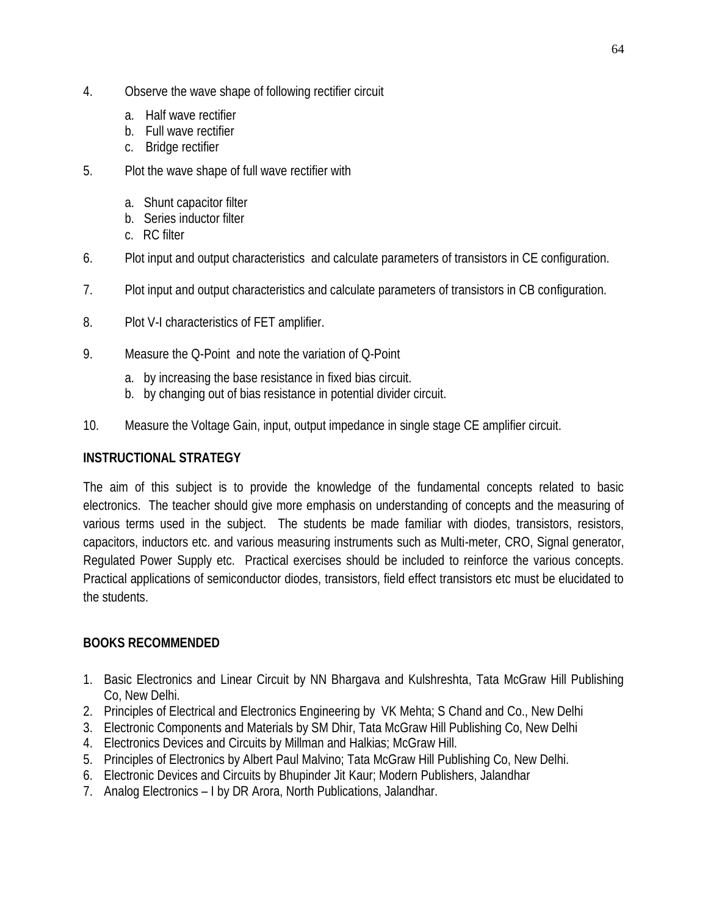- 4. Observe the wave shape of following rectifier circuit
	- a. Half wave rectifier
	- b. Full wave rectifier
	- c. Bridge rectifier
- 5. Plot the wave shape of full wave rectifier with
	- a. Shunt capacitor filter
	- b. Series inductor filter
	- c. RC filter
- 6. Plot input and output characteristics and calculate parameters of transistors in CE configuration.
- 7. Plot input and output characteristics and calculate parameters of transistors in CB configuration.
- 8. Plot V-I characteristics of FET amplifier.
- 9. Measure the Q-Point and note the variation of Q-Point
	- a. by increasing the base resistance in fixed bias circuit.
	- b. by changing out of bias resistance in potential divider circuit.
- 10. Measure the Voltage Gain, input, output impedance in single stage CE amplifier circuit.

# **INSTRUCTIONAL STRATEGY**

The aim of this subject is to provide the knowledge of the fundamental concepts related to basic electronics. The teacher should give more emphasis on understanding of concepts and the measuring of various terms used in the subject. The students be made familiar with diodes, transistors, resistors, capacitors, inductors etc. and various measuring instruments such as Multi-meter, CRO, Signal generator, Regulated Power Supply etc. Practical exercises should be included to reinforce the various concepts. Practical applications of semiconductor diodes, transistors, field effect transistors etc must be elucidated to the students.

# **BOOKS RECOMMENDED**

- 1. Basic Electronics and Linear Circuit by NN Bhargava and Kulshreshta, Tata McGraw Hill Publishing Co, New Delhi.
- 2. Principles of Electrical and Electronics Engineering by VK Mehta; S Chand and Co., New Delhi
- 3. Electronic Components and Materials by SM Dhir, Tata McGraw Hill Publishing Co, New Delhi
- 4. Electronics Devices and Circuits by Millman and Halkias; McGraw Hill.
- 5. Principles of Electronics by Albert Paul Malvino; Tata McGraw Hill Publishing Co, New Delhi.
- 6. Electronic Devices and Circuits by Bhupinder Jit Kaur; Modern Publishers, Jalandhar
- 7. Analog Electronics I by DR Arora, North Publications, Jalandhar.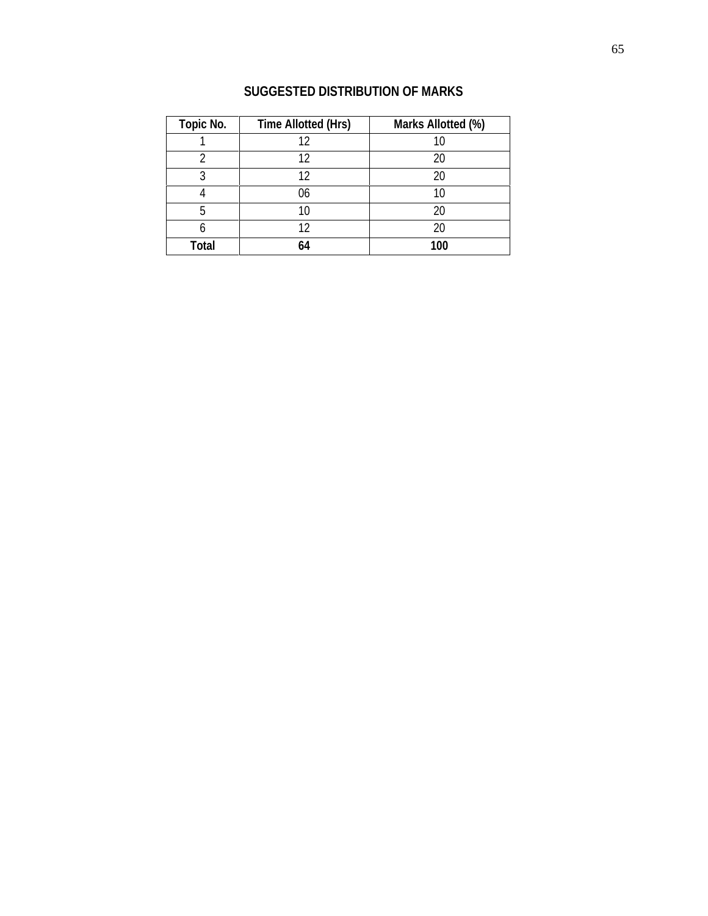| <b>Topic No.</b> | <b>Time Allotted (Hrs)</b> | Marks Allotted (%) |  |  |
|------------------|----------------------------|--------------------|--|--|
|                  | 12                         | 10                 |  |  |
|                  | 12                         | 20                 |  |  |
| 3                | 12                         | 20                 |  |  |
|                  | 06                         | 10                 |  |  |
| 5                | 10                         | 20                 |  |  |
| 6                | 12<br>20                   |                    |  |  |
| <b>Total</b>     | 64                         | 100                |  |  |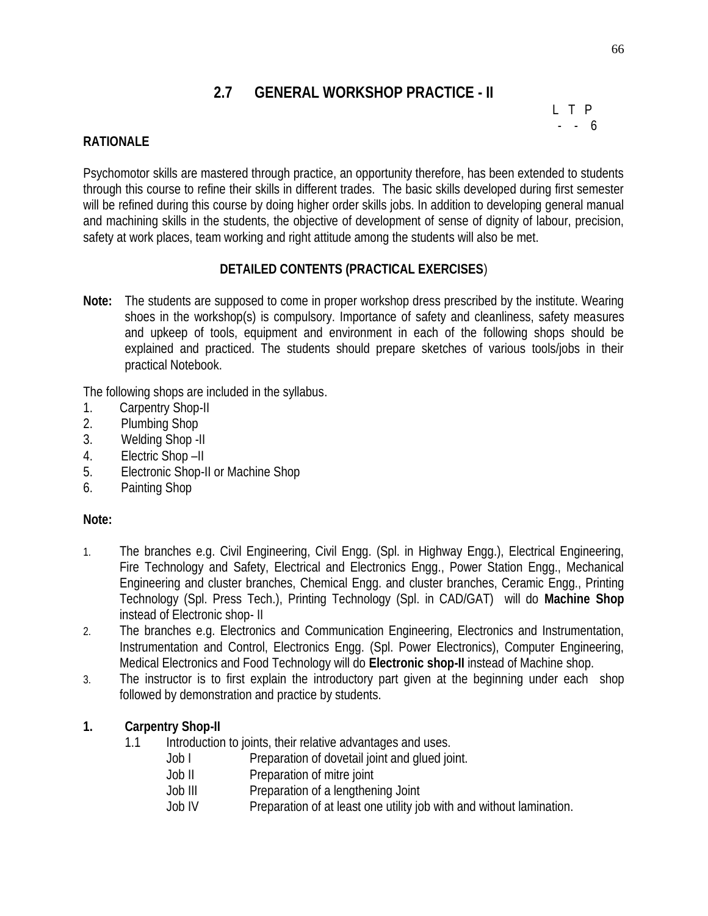# **2.7 GENERAL WORKSHOP PRACTICE - II**

L T P - - 6

## **RATIONALE**

Psychomotor skills are mastered through practice, an opportunity therefore, has been extended to students through this course to refine their skills in different trades. The basic skills developed during first semester will be refined during this course by doing higher order skills jobs. In addition to developing general manual and machining skills in the students, the objective of development of sense of dignity of labour, precision, safety at work places, team working and right attitude among the students will also be met.

## **DETAILED CONTENTS (PRACTICAL EXERCISES**)

**Note:** The students are supposed to come in proper workshop dress prescribed by the institute. Wearing shoes in the workshop(s) is compulsory. Importance of safety and cleanliness, safety measures and upkeep of tools, equipment and environment in each of the following shops should be explained and practiced. The students should prepare sketches of various tools/jobs in their practical Notebook.

The following shops are included in the syllabus.

- 1. Carpentry Shop-II
- 2. Plumbing Shop
- 3. Welding Shop -II
- 4. Electric Shop –II
- 5. Electronic Shop-II or Machine Shop
- 6. Painting Shop

## **Note:**

- 1. The branches e.g. Civil Engineering, Civil Engg. (Spl. in Highway Engg.), Electrical Engineering, Fire Technology and Safety, Electrical and Electronics Engg., Power Station Engg., Mechanical Engineering and cluster branches, Chemical Engg. and cluster branches, Ceramic Engg., Printing Technology (Spl. Press Tech.), Printing Technology (Spl. in CAD/GAT) will do **Machine Shop** instead of Electronic shop- II
- 2. The branches e.g. Electronics and Communication Engineering, Electronics and Instrumentation, Instrumentation and Control, Electronics Engg. (Spl. Power Electronics), Computer Engineering, Medical Electronics and Food Technology will do **Electronic shop-II** instead of Machine shop.
- 3. The instructor is to first explain the introductory part given at the beginning under each shop followed by demonstration and practice by students.

## **1. Carpentry Shop-II**

- 1.1 Introduction to joints, their relative advantages and uses.
	- Job I Preparation of dovetail joint and glued joint.
		- Job II Preparation of mitre joint
		- Job III Preparation of a lengthening Joint
		- Job IV Preparation of at least one utility job with and without lamination.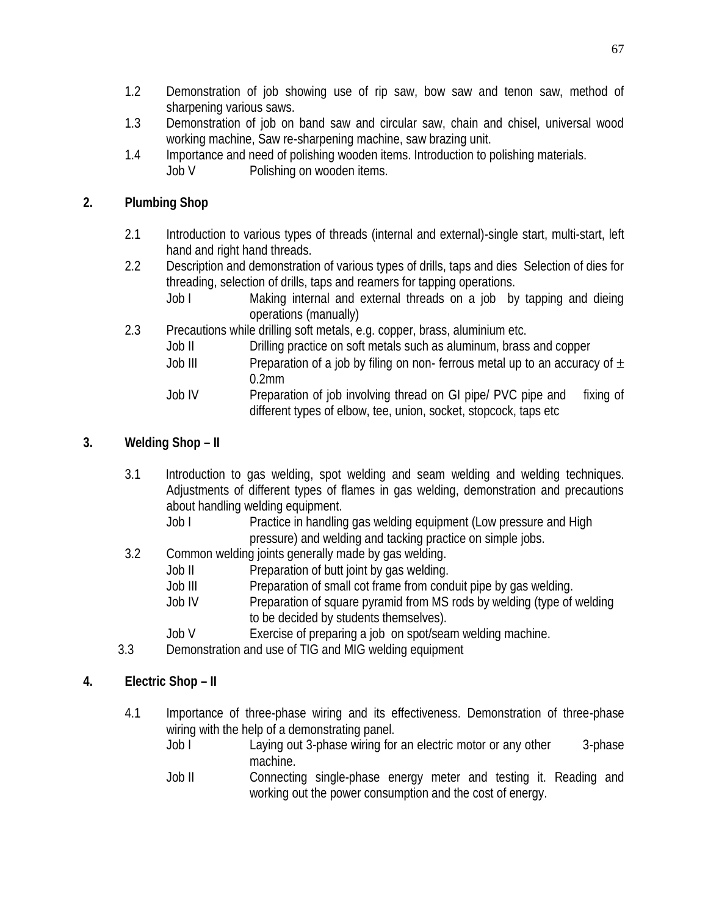- 1.2 Demonstration of job showing use of rip saw, bow saw and tenon saw, method of sharpening various saws.
- 1.3 Demonstration of job on band saw and circular saw, chain and chisel, universal wood working machine, Saw re-sharpening machine, saw brazing unit.
- 1.4 Importance and need of polishing wooden items. Introduction to polishing materials. Job V Polishing on wooden items.

# **2. Plumbing Shop**

- 2.1 Introduction to various types of threads (internal and external)-single start, multi-start, left hand and right hand threads.
- 2.2 Description and demonstration of various types of drills, taps and dies Selection of dies for threading, selection of drills, taps and reamers for tapping operations.
	- Job I Making internal and external threads on a job by tapping and dieing operations (manually)
- 2.3 Precautions while drilling soft metals, e.g. copper, brass, aluminium etc.
	- Job II Drilling practice on soft metals such as aluminum, brass and copper
	- Job III Preparation of a job by filing on non- ferrous metal up to an accuracy of  $\pm$ 0.2mm
	- Job IV Preparation of job involving thread on GI pipe/ PVC pipe and fixing of different types of elbow, tee, union, socket, stopcock, taps etc

# **3. Welding Shop – II**

- 3.1 Introduction to gas welding, spot welding and seam welding and welding techniques. Adjustments of different types of flames in gas welding, demonstration and precautions about handling welding equipment.
	- Job I Practice in handling gas welding equipment (Low pressure and High pressure) and welding and tacking practice on simple jobs.
- 3.2 Common welding joints generally made by gas welding.
	- Job II Preparation of butt joint by gas welding.
	- Job III Preparation of small cot frame from conduit pipe by gas welding.
	- Job IV Preparation of square pyramid from MS rods by welding (type of welding to be decided by students themselves).
	- Job V Exercise of preparing a job on spot/seam welding machine.
- 3.3 Demonstration and use of TIG and MIG welding equipment

# **4. Electric Shop – II**

- 4.1 Importance of three-phase wiring and its effectiveness. Demonstration of three-phase wiring with the help of a demonstrating panel.
	- Job I Laying out 3-phase wiring for an electric motor or any other 3-phase machine.
	- Job II Connecting single-phase energy meter and testing it. Reading and working out the power consumption and the cost of energy.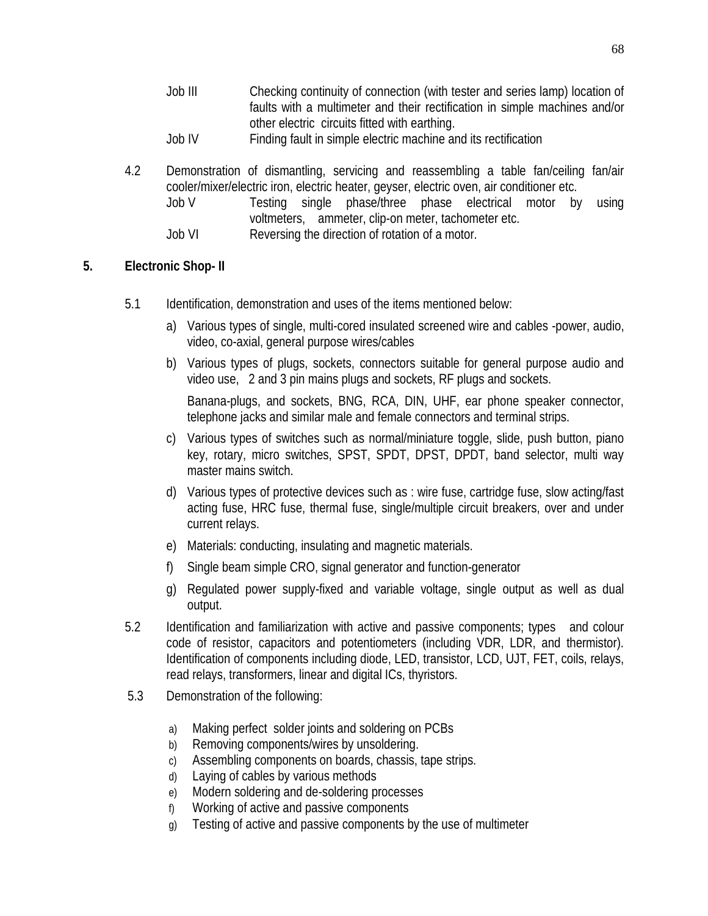- Job III Checking continuity of connection (with tester and series lamp) location of faults with a multimeter and their rectification in simple machines and/or other electric circuits fitted with earthing.
- Job IV Finding fault in simple electric machine and its rectification
- 4.2 Demonstration of dismantling, servicing and reassembling a table fan/ceiling fan/air cooler/mixer/electric iron, electric heater, geyser, electric oven, air conditioner etc.
	- Job V Testing single phase/three phase electrical motor by using voltmeters, ammeter, clip-on meter, tachometer etc.
	- Job VI Reversing the direction of rotation of a motor.

# **5. Electronic Shop- II**

- 5.1 Identification, demonstration and uses of the items mentioned below:
	- a) Various types of single, multi-cored insulated screened wire and cables -power, audio, video, co-axial, general purpose wires/cables
	- b) Various types of plugs, sockets, connectors suitable for general purpose audio and video use, 2 and 3 pin mains plugs and sockets, RF plugs and sockets.

Banana-plugs, and sockets, BNG, RCA, DIN, UHF, ear phone speaker connector, telephone jacks and similar male and female connectors and terminal strips.

- c) Various types of switches such as normal/miniature toggle, slide, push button, piano key, rotary, micro switches, SPST, SPDT, DPST, DPDT, band selector, multi way master mains switch.
- d) Various types of protective devices such as : wire fuse, cartridge fuse, slow acting/fast acting fuse, HRC fuse, thermal fuse, single/multiple circuit breakers, over and under current relays.
- e) Materials: conducting, insulating and magnetic materials.
- f) Single beam simple CRO, signal generator and function-generator
- g) Regulated power supply-fixed and variable voltage, single output as well as dual output.
- 5.2 Identification and familiarization with active and passive components; types and colour code of resistor, capacitors and potentiometers (including VDR, LDR, and thermistor). Identification of components including diode, LED, transistor, LCD, UJT, FET, coils, relays, read relays, transformers, linear and digital ICs, thyristors.
- 5.3 Demonstration of the following:
	- a) Making perfect solder joints and soldering on PCBs
	- b) Removing components/wires by unsoldering.
	- c) Assembling components on boards, chassis, tape strips.
	- d) Laying of cables by various methods
	- e) Modern soldering and de-soldering processes
	- f) Working of active and passive components
	- g) Testing of active and passive components by the use of multimeter